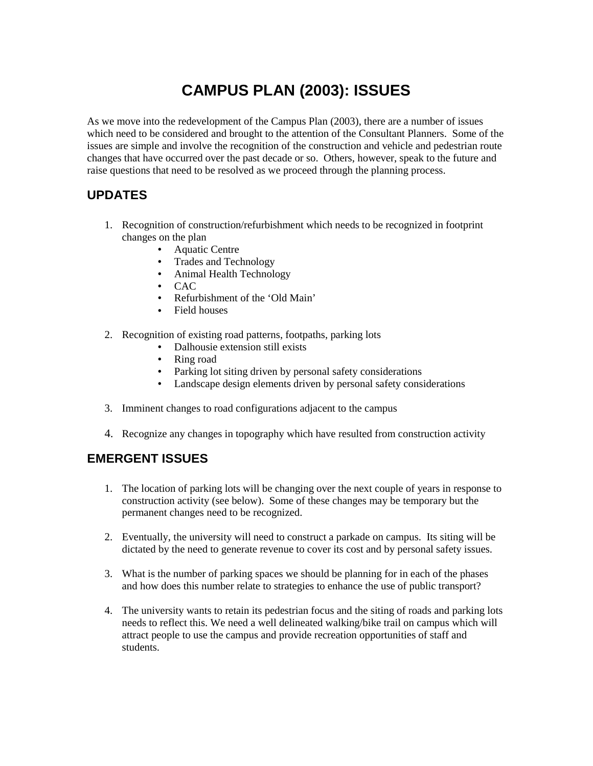## **CAMPUS PLAN (2003): ISSUES**

As we move into the redevelopment of the Campus Plan (2003), there are a number of issues which need to be considered and brought to the attention of the Consultant Planners. Some of the issues are simple and involve the recognition of the construction and vehicle and pedestrian route changes that have occurred over the past decade or so. Others, however, speak to the future and raise questions that need to be resolved as we proceed through the planning process.

## **UPDATES**

- 1. Recognition of construction/refurbishment which needs to be recognized in footprint changes on the plan
	- Aquatic Centre
	- Trades and Technology
	- Animal Health Technology
	- CAC
	- Refurbishment of the 'Old Main'
	- Field houses
- 2. Recognition of existing road patterns, footpaths, parking lots
	- Dalhousie extension still exists
	- Ring road
	- Parking lot siting driven by personal safety considerations
	- Landscape design elements driven by personal safety considerations
- 3. Imminent changes to road configurations adjacent to the campus
- 4. Recognize any changes in topography which have resulted from construction activity

## **EMERGENT ISSUES**

- 1. The location of parking lots will be changing over the next couple of years in response to construction activity (see below). Some of these changes may be temporary but the permanent changes need to be recognized.
- 2. Eventually, the university will need to construct a parkade on campus. Its siting will be dictated by the need to generate revenue to cover its cost and by personal safety issues.
- 3. What is the number of parking spaces we should be planning for in each of the phases and how does this number relate to strategies to enhance the use of public transport?
- 4. The university wants to retain its pedestrian focus and the siting of roads and parking lots needs to reflect this. We need a well delineated walking/bike trail on campus which will attract people to use the campus and provide recreation opportunities of staff and students.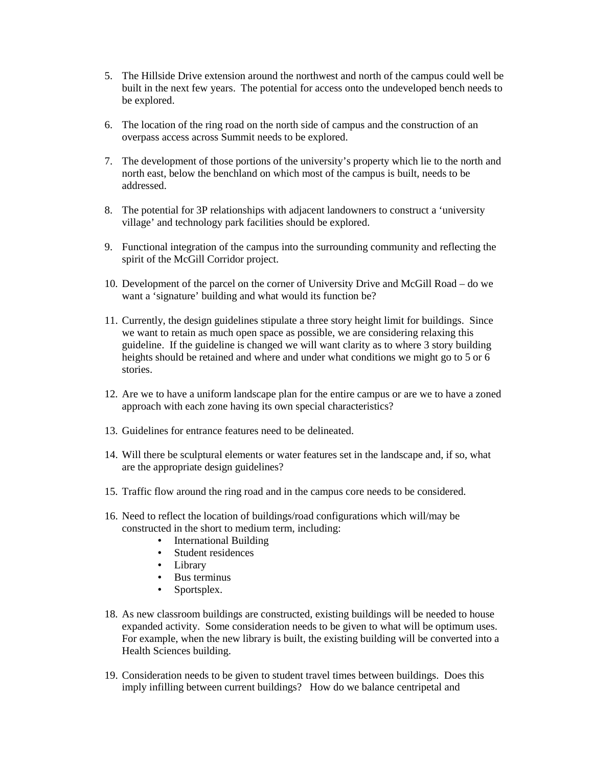- 5. The Hillside Drive extension around the northwest and north of the campus could well be built in the next few years. The potential for access onto the undeveloped bench needs to be explored.
- 6. The location of the ring road on the north side of campus and the construction of an overpass access across Summit needs to be explored.
- 7. The development of those portions of the university's property which lie to the north and north east, below the benchland on which most of the campus is built, needs to be addressed.
- 8. The potential for 3P relationships with adjacent landowners to construct a 'university village' and technology park facilities should be explored.
- 9. Functional integration of the campus into the surrounding community and reflecting the spirit of the McGill Corridor project.
- 10. Development of the parcel on the corner of University Drive and McGill Road do we want a 'signature' building and what would its function be?
- 11. Currently, the design guidelines stipulate a three story height limit for buildings. Since we want to retain as much open space as possible, we are considering relaxing this guideline. If the guideline is changed we will want clarity as to where 3 story building heights should be retained and where and under what conditions we might go to 5 or 6 stories.
- 12. Are we to have a uniform landscape plan for the entire campus or are we to have a zoned approach with each zone having its own special characteristics?
- 13. Guidelines for entrance features need to be delineated.
- 14. Will there be sculptural elements or water features set in the landscape and, if so, what are the appropriate design guidelines?
- 15. Traffic flow around the ring road and in the campus core needs to be considered.
- 16. Need to reflect the location of buildings/road configurations which will/may be constructed in the short to medium term, including:
	- International Building
	- Student residences
	- Library
	- Bus terminus
	- Sportsplex.
- 18. As new classroom buildings are constructed, existing buildings will be needed to house expanded activity. Some consideration needs to be given to what will be optimum uses. For example, when the new library is built, the existing building will be converted into a Health Sciences building.
- 19. Consideration needs to be given to student travel times between buildings. Does this imply infilling between current buildings? How do we balance centripetal and